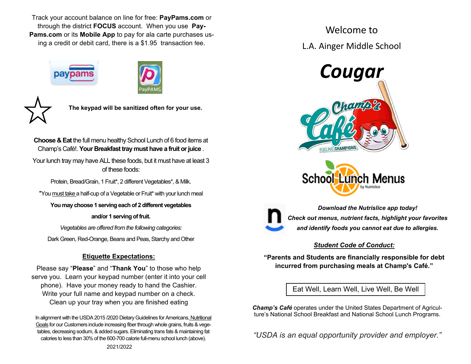Track your account balance on line for free: **PayPams.com** or through the district **FOCUS** account. When you use **Pay-Pams.com** or its **Mobile App** to pay for ala carte purchases using a credit or debit card, there is a \$1.95 transaction fee.







**The keypad will be sanitized often for your use.** 

**Choose & Eat** the full menu healthy School Lunch of 6 food items at Champ's Café!. **Your Breakfast tray must have a fruit or juice** .

Your lunch tray may have ALL these foods, but it must have at least 3 of these foods:

Protein, Bread/Grain, 1 Fruit\*, 2 different Vegetables\*, & Milk.

\*You must take a half-cup of a Vegetable or Fruit\* with your lunch meal

**You may choose 1 serving each of 2 different vegetables** 

**and/or 1 serving of fruit.** 

*Vegetables are offered from the following categories:* 

Dark Green, Red-Orange, Beans and Peas, Starchy and Other

### **Etiquette Expectations:**

Please say "**Please**" and "**Thank You**" to those who help serve you. Learn your keypad number (enter it into your cell phone). Have your money ready to hand the Cashier. Write your full name and keypad number on a check. Clean up your tray when you are finished eating

In alignment with the USDA 2015 /2020 Dietary Guidelines for Americans, Nutritional Goals for our Customers include increasing fiber through whole grains, fruits & vegetables, decreasing sodium, & added sugars. Eliminating trans fats & maintaining fat calories to less than 30% of the 600-700 calorie full-menu school lunch (above).

Welcome to L.A. Ainger Middle School







*Download the Nutrislice app today! Check out menus, nutrient facts, highlight your favorites and identify foods you cannot eat due to allergies.* 

### *Student Code of Conduct:*

**"Parents and Students are financially responsible for debt incurred from purchasing meals at Champ's Café."** 

Eat Well, Learn Well, Live Well, Be Well

*Champ's Café* operates under the United States Department of Agriculture's National School Breakfast and National School Lunch Programs.

*"USDA is an equal opportunity provider and employer."*